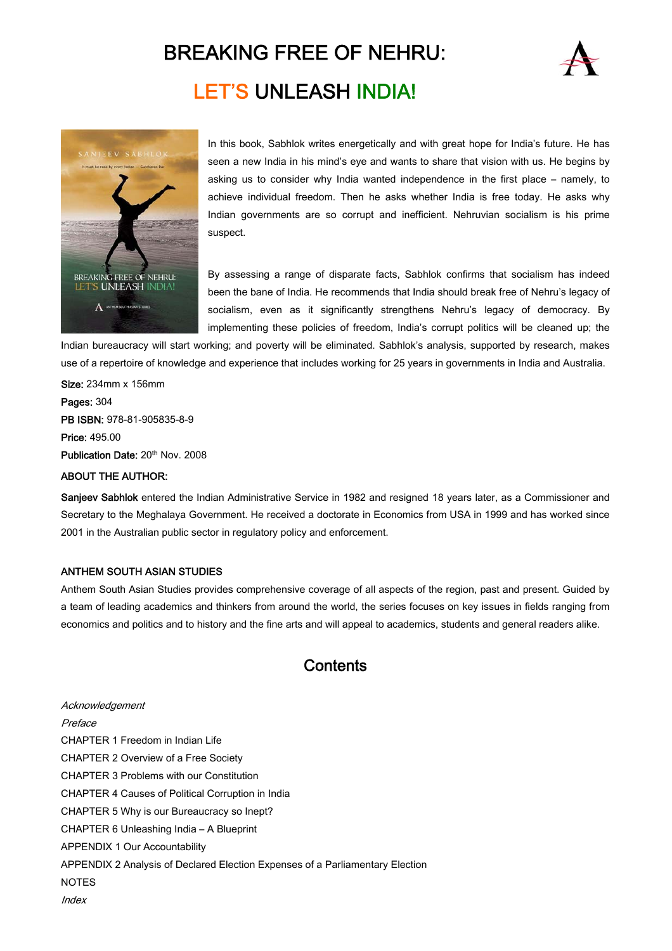# BREAKING FREE OF NEHRU: LET'S UNLEASH INDIA!





In this book, Sabhlok writes energetically and with great hope for India's future. He has seen a new India in his mind's eye and wants to share that vision with us. He begins by asking us to consider why India wanted independence in the first place – namely, to achieve individual freedom. Then he asks whether India is free today. He asks why Indian governments are so corrupt and inefficient. Nehruvian socialism is his prime suspect.

By assessing a range of disparate facts, Sabhlok confirms that socialism has indeed been the bane of India. He recommends that India should break free of Nehru's legacy of socialism, even as it significantly strengthens Nehru's legacy of democracy. By implementing these policies of freedom, India's corrupt politics will be cleaned up; the

Indian bureaucracy will start working; and poverty will be eliminated. Sabhlok's analysis, supported by research, makes use of a repertoire of knowledge and experience that includes working for 25 years in governments in India and Australia.

Size: 234mm x 156mm Pages: 304 PB ISBN: 978-81-905835-8-9 Price: 495.00 Publication Date: 20<sup>th</sup> Nov. 2008

#### ABOUT THE AUTHOR:

Sanjeev Sabhlok entered the Indian Administrative Service in 1982 and resigned 18 years later, as a Commissioner and Secretary to the Meghalaya Government. He received a doctorate in Economics from USA in 1999 and has worked since 2001 in the Australian public sector in regulatory policy and enforcement.

#### ANTHEM SOUTH ASIAN STUDIES

Anthem South Asian Studies provides comprehensive coverage of all aspects of the region, past and present. Guided by a team of leading academics and thinkers from around the world, the series focuses on key issues in fields ranging from economics and politics and to history and the fine arts and will appeal to academics, students and general readers alike.

### **Contents**

Acknowledgement Preface CHAPTER 1 Freedom in Indian Life CHAPTER 2 Overview of a Free Society CHAPTER 3 Problems with our Constitution CHAPTER 4 Causes of Political Corruption in India CHAPTER 5 Why is our Bureaucracy so Inept? CHAPTER 6 Unleashing India – A Blueprint APPENDIX 1 Our Accountability APPENDIX 2 Analysis of Declared Election Expenses of a Parliamentary Election NOTES **Index**